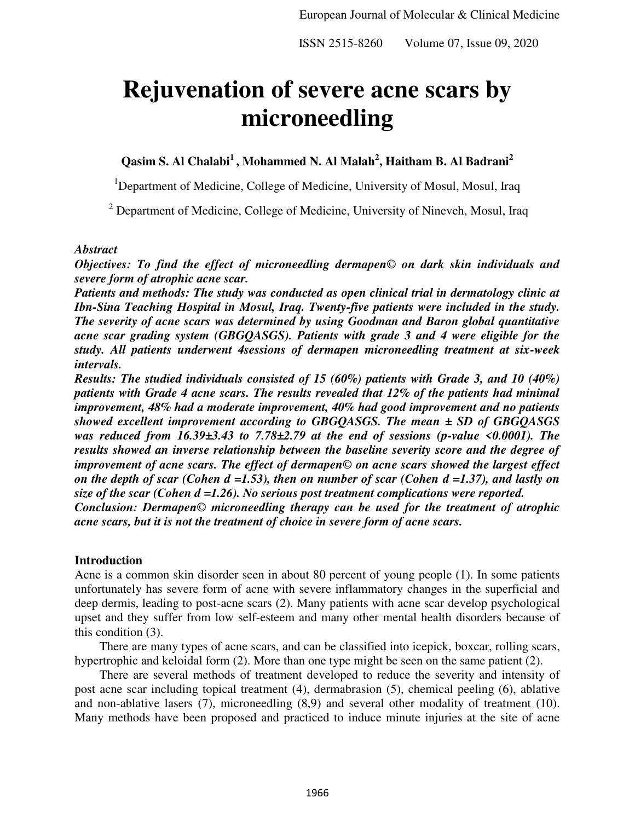# **Rejuvenation of severe acne scars by microneedling**

**Qasim S. Al Chalabi<sup>1</sup>, Mohammed N. Al Malah<sup>2</sup> , Haitham B. Al Badrani<sup>2</sup>**

<sup>1</sup>Department of Medicine, College of Medicine, University of Mosul, Mosul, Iraq

 $2$  Department of Medicine, College of Medicine, University of Nineveh, Mosul, Iraq

### *Abstract*

*Objectives: To find the effect of microneedling dermapen© on dark skin individuals and severe form of atrophic acne scar.* 

*Patients and methods: The study was conducted as open clinical trial in dermatology clinic at Ibn-Sina Teaching Hospital in Mosul, Iraq. Twenty-five patients were included in the study. The severity of acne scars was determined by using Goodman and Baron global quantitative acne scar grading system (GBGQASGS). Patients with grade 3 and 4 were eligible for the study. All patients underwent 4sessions of dermapen microneedling treatment at six-week intervals.* 

*Results: The studied individuals consisted of 15 (60%) patients with Grade 3, and 10 (40%) patients with Grade 4 acne scars. The results revealed that 12% of the patients had minimal improvement, 48% had a moderate improvement, 40% had good improvement and no patients showed excellent improvement according to GBGQASGS. The mean ± SD of GBGQASGS was reduced from 16.39±3.43 to 7.78±2.79 at the end of sessions (p-value <0.0001). The results showed an inverse relationship between the baseline severity score and the degree of improvement of acne scars. The effect of dermapen© on acne scars showed the largest effect on the depth of scar (Cohen d =1.53), then on number of scar (Cohen d =1.37), and lastly on size of the scar (Cohen d =1.26). No serious post treatment complications were reported.* 

*Conclusion: Dermapen© microneedling therapy can be used for the treatment of atrophic acne scars, but it is not the treatment of choice in severe form of acne scars.* 

## **Introduction**

Acne is a common skin disorder seen in about 80 percent of young people (1). In some patients unfortunately has severe form of acne with severe inflammatory changes in the superficial and deep dermis, leading to post-acne scars (2). Many patients with acne scar develop psychological upset and they suffer from low self-esteem and many other mental health disorders because of this condition (3).

 There are many types of acne scars, and can be classified into icepick, boxcar, rolling scars, hypertrophic and keloidal form (2). More than one type might be seen on the same patient (2).

 There are several methods of treatment developed to reduce the severity and intensity of post acne scar including topical treatment (4), dermabrasion (5), chemical peeling (6), ablative and non-ablative lasers (7), microneedling (8,9) and several other modality of treatment (10). Many methods have been proposed and practiced to induce minute injuries at the site of acne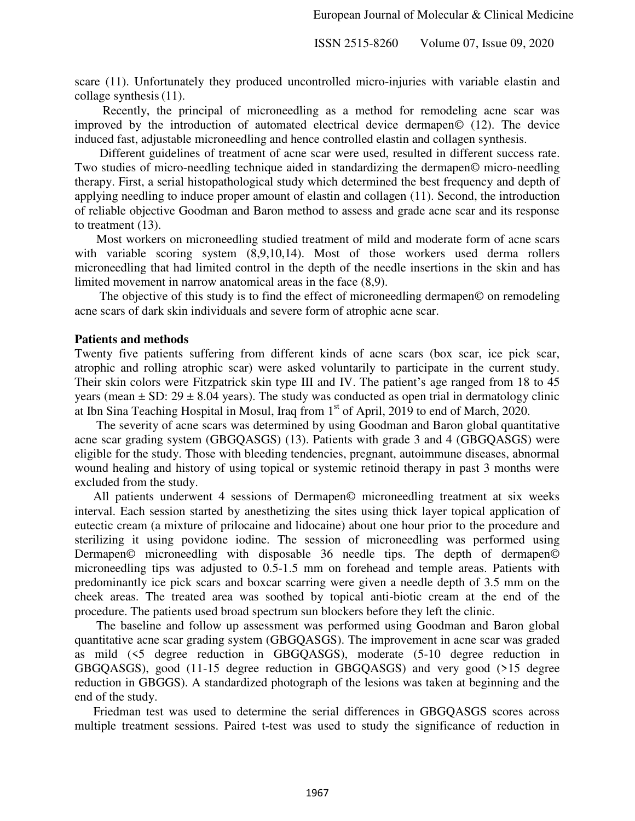scare (11). Unfortunately they produced uncontrolled micro-injuries with variable elastin and collage synthesis(11).

 Recently, the principal of microneedling as a method for remodeling acne scar was improved by the introduction of automated electrical device dermapen© (12). The device induced fast, adjustable microneedling and hence controlled elastin and collagen synthesis.

 Different guidelines of treatment of acne scar were used, resulted in different success rate. Two studies of micro-needling technique aided in standardizing the dermapen© micro-needling therapy. First, a serial histopathological study which determined the best frequency and depth of applying needling to induce proper amount of elastin and collagen (11). Second, the introduction of reliable objective Goodman and Baron method to assess and grade acne scar and its response to treatment (13).

 Most workers on microneedling studied treatment of mild and moderate form of acne scars with variable scoring system  $(8,9,10,14)$ . Most of those workers used derma rollers microneedling that had limited control in the depth of the needle insertions in the skin and has limited movement in narrow anatomical areas in the face (8,9).

The objective of this study is to find the effect of microneedling dermapen© on remodeling acne scars of dark skin individuals and severe form of atrophic acne scar.

### **Patients and methods**

Twenty five patients suffering from different kinds of acne scars (box scar, ice pick scar, atrophic and rolling atrophic scar) were asked voluntarily to participate in the current study. Their skin colors were Fitzpatrick skin type III and IV. The patient's age ranged from 18 to 45 years (mean  $\pm$  SD: 29  $\pm$  8.04 years). The study was conducted as open trial in dermatology clinic at Ibn Sina Teaching Hospital in Mosul, Iraq from 1st of April, 2019 to end of March, 2020.

 The severity of acne scars was determined by using Goodman and Baron global quantitative acne scar grading system (GBGQASGS) (13). Patients with grade 3 and 4 (GBGQASGS) were eligible for the study. Those with bleeding tendencies, pregnant, autoimmune diseases, abnormal wound healing and history of using topical or systemic retinoid therapy in past 3 months were excluded from the study.

 All patients underwent 4 sessions of Dermapen© microneedling treatment at six weeks interval. Each session started by anesthetizing the sites using thick layer topical application of eutectic cream (a mixture of prilocaine and lidocaine) about one hour prior to the procedure and sterilizing it using povidone iodine. The session of microneedling was performed using Dermapen© microneedling with disposable 36 needle tips. The depth of dermapen© microneedling tips was adjusted to 0.5-1.5 mm on forehead and temple areas. Patients with predominantly ice pick scars and boxcar scarring were given a needle depth of 3.5 mm on the cheek areas. The treated area was soothed by topical anti-biotic cream at the end of the procedure. The patients used broad spectrum sun blockers before they left the clinic.

 The baseline and follow up assessment was performed using Goodman and Baron global quantitative acne scar grading system (GBGQASGS). The improvement in acne scar was graded as mild (<5 degree reduction in GBGQASGS), moderate (5-10 degree reduction in GBGQASGS), good (11-15 degree reduction in GBGQASGS) and very good (>15 degree reduction in GBGGS). A standardized photograph of the lesions was taken at beginning and the end of the study.

 Friedman test was used to determine the serial differences in GBGQASGS scores across multiple treatment sessions. Paired t-test was used to study the significance of reduction in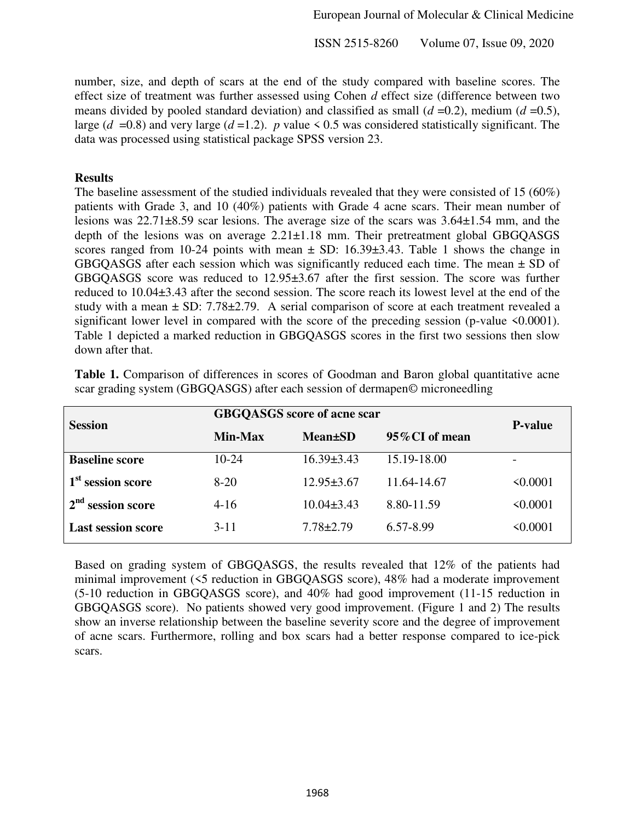number, size, and depth of scars at the end of the study compared with baseline scores. The effect size of treatment was further assessed using Cohen *d* effect size (difference between two means divided by pooled standard deviation) and classified as small  $(d=0.2)$ , medium  $(d=0.5)$ , large ( $d = 0.8$ ) and very large ( $d = 1.2$ ). *p* value < 0.5 was considered statistically significant. The data was processed using statistical package SPSS version 23.

## **Results**

The baseline assessment of the studied individuals revealed that they were consisted of 15 (60%) patients with Grade 3, and 10 (40%) patients with Grade 4 acne scars. Their mean number of lesions was 22.71±8.59 scar lesions. The average size of the scars was 3.64±1.54 mm, and the depth of the lesions was on average 2.21±1.18 mm. Their pretreatment global GBGQASGS scores ranged from 10-24 points with mean  $\pm$  SD: 16.39 $\pm$ 3.43. Table 1 shows the change in GBGQASGS after each session which was significantly reduced each time. The mean  $\pm$  SD of GBGQASGS score was reduced to 12.95±3.67 after the first session. The score was further reduced to 10.04±3.43 after the second session. The score reach its lowest level at the end of the study with a mean  $\pm$  SD: 7.78 $\pm$ 2.79. A serial comparison of score at each treatment revealed a significant lower level in compared with the score of the preceding session (p-value  $\leq 0.0001$ ). Table 1 depicted a marked reduction in GBGQASGS scores in the first two sessions then slow down after that.

| <b>Session</b>                   | <b>GBGQASGS</b> score of acne scar | <b>P-value</b>   |                |                          |
|----------------------------------|------------------------------------|------------------|----------------|--------------------------|
|                                  | <b>Min-Max</b>                     | <b>Mean</b> ±SD  | 95% CI of mean |                          |
| <b>Baseline score</b>            | $10-24$                            | $16.39 \pm 3.43$ | 15.19-18.00    | $\overline{\phantom{a}}$ |
| 1 <sup>st</sup> session score    | $8 - 20$                           | $12.95 \pm 3.67$ | 11.64-14.67    | $\leq 0.0001$            |
| 2 <sup>nd</sup><br>session score | $4 - 16$                           | $10.04 \pm 3.43$ | 8.80-11.59     | $\leq 0.0001$            |
| <b>Last session score</b>        | $3 - 11$                           | $7.78 \pm 2.79$  | 6.57-8.99      | $\leq 0.0001$            |

**Table 1.** Comparison of differences in scores of Goodman and Baron global quantitative acne scar grading system (GBGQASGS) after each session of dermapen© microneedling

Based on grading system of GBGQASGS, the results revealed that 12% of the patients had minimal improvement (<5 reduction in GBGQASGS score), 48% had a moderate improvement (5-10 reduction in GBGQASGS score), and 40% had good improvement (11-15 reduction in GBGQASGS score). No patients showed very good improvement. (Figure 1 and 2) The results show an inverse relationship between the baseline severity score and the degree of improvement of acne scars. Furthermore, rolling and box scars had a better response compared to ice-pick scars.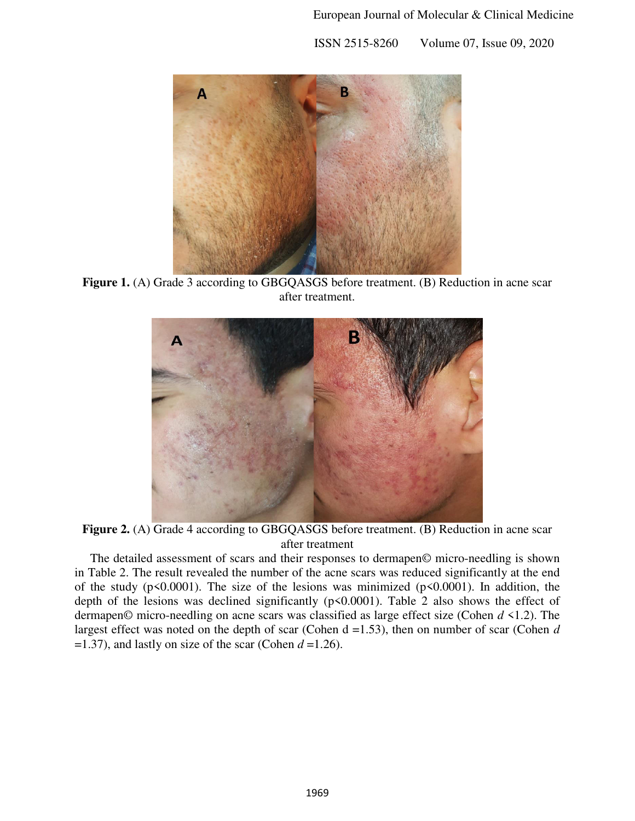

**Figure 1.** (A) Grade 3 according to GBGQASGS before treatment. (B) Reduction in acne scar after treatment.



**Figure 2.** (A) Grade 4 according to GBGQASGS before treatment. (B) Reduction in acne scar after treatment

 The detailed assessment of scars and their responses to dermapen© micro-needling is shown in Table 2. The result revealed the number of the acne scars was reduced significantly at the end of the study ( $p \le 0.0001$ ). The size of the lesions was minimized ( $p \le 0.0001$ ). In addition, the depth of the lesions was declined significantly  $(p<0.0001)$ . Table 2 also shows the effect of dermapen© micro-needling on acne scars was classified as large effect size (Cohen *d* <1.2). The largest effect was noted on the depth of scar (Cohen d =1.53), then on number of scar (Cohen *d*  $=1.37$ ), and lastly on size of the scar (Cohen  $d = 1.26$ ).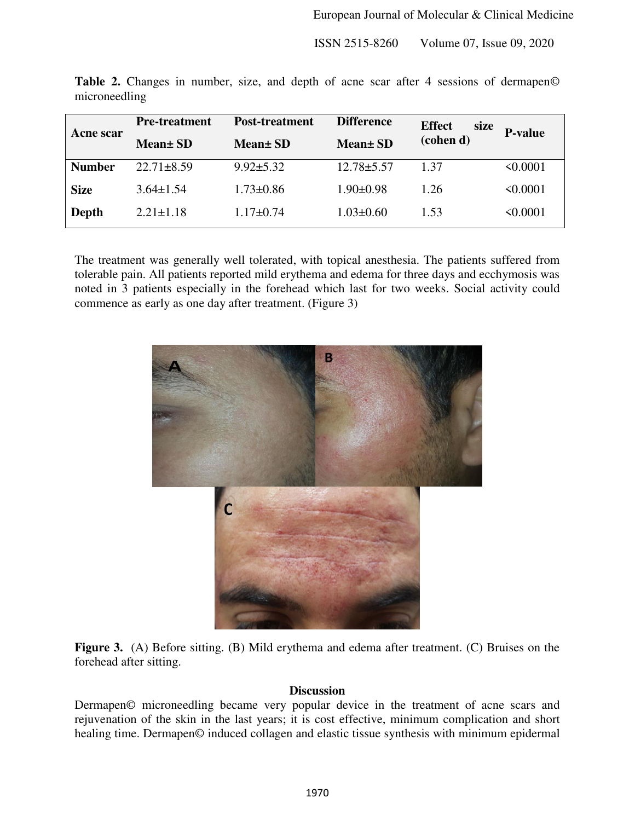| Acne scar     | <b>Pre-treatment</b> | <b>Post-treatment</b> | <b>Difference</b> | <b>Effect</b><br>size | <b>P-value</b> |
|---------------|----------------------|-----------------------|-------------------|-----------------------|----------------|
|               | <b>Mean</b> ± SD     | <b>Mean</b> ± SD      | Mean± SD          | (cohen d)             |                |
| <b>Number</b> | $22.71 \pm 8.59$     | $9.92 \pm 5.32$       | $12.78 + 5.57$    | 1 37                  | $\leq 0.0001$  |
| <b>Size</b>   | $3.64 \pm 1.54$      | $1.73 \pm 0.86$       | $1.90 \pm 0.98$   | 1.26                  | $\leq 0.0001$  |
| Depth         | $2.21 \pm 1.18$      | $1.17\pm0.74$         | $1.03 \pm 0.60$   | 1.53                  | $\leq 0.0001$  |
|               |                      |                       |                   |                       |                |

Table 2. Changes in number, size, and depth of acne scar after 4 sessions of dermapen© microneedling

The treatment was generally well tolerated, with topical anesthesia. The patients suffered from tolerable pain. All patients reported mild erythema and edema for three days and ecchymosis was noted in 3 patients especially in the forehead which last for two weeks. Social activity could commence as early as one day after treatment. (Figure 3)



Figure 3. (A) Before sitting. (B) Mild erythema and edema after treatment. (C) Bruises on the forehead after sitting.

## **Discussion**

Dermapen© microneedling became very popular device in the treatment of acne scars and rejuvenation of the skin in the last years; it is cost effective, minimum complication and short healing time. Dermapen© induced collagen and elastic tissue synthesis with minimum epidermal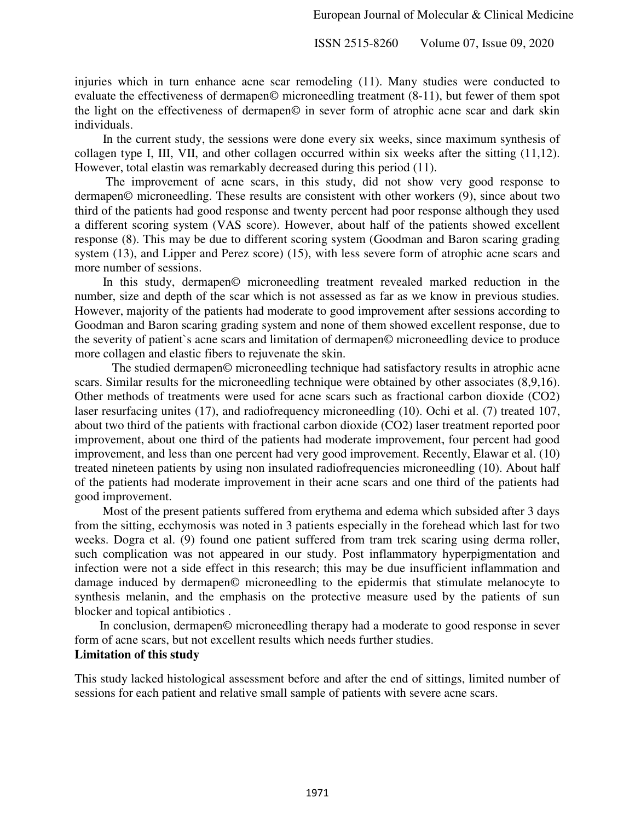injuries which in turn enhance acne scar remodeling (11). Many studies were conducted to evaluate the effectiveness of dermapen© microneedling treatment (8-11), but fewer of them spot the light on the effectiveness of dermapen© in sever form of atrophic acne scar and dark skin individuals.

 In the current study, the sessions were done every six weeks, since maximum synthesis of collagen type I, III, VII, and other collagen occurred within six weeks after the sitting (11,12). However, total elastin was remarkably decreased during this period (11).

 The improvement of acne scars, in this study, did not show very good response to dermapen© microneedling. These results are consistent with other workers (9), since about two third of the patients had good response and twenty percent had poor response although they used a different scoring system (VAS score). However, about half of the patients showed excellent response (8). This may be due to different scoring system (Goodman and Baron scaring grading system (13), and Lipper and Perez score) (15), with less severe form of atrophic acne scars and more number of sessions.

 In this study, dermapen© microneedling treatment revealed marked reduction in the number, size and depth of the scar which is not assessed as far as we know in previous studies. However, majority of the patients had moderate to good improvement after sessions according to Goodman and Baron scaring grading system and none of them showed excellent response, due to the severity of patient`s acne scars and limitation of dermapen© microneedling device to produce more collagen and elastic fibers to rejuvenate the skin.

 The studied dermapen© microneedling technique had satisfactory results in atrophic acne scars. Similar results for the microneedling technique were obtained by other associates (8,9,16). Other methods of treatments were used for acne scars such as fractional carbon dioxide (CO2) laser resurfacing unites (17), and radiofrequency microneedling (10). Ochi et al. (7) treated 107, about two third of the patients with fractional carbon dioxide (CO2) laser treatment reported poor improvement, about one third of the patients had moderate improvement, four percent had good improvement, and less than one percent had very good improvement. Recently, [Elawar](https://www.ncbi.nlm.nih.gov/pubmed/?term=Elawar%20A%5BAuthor%5D&cauthor=true&cauthor_uid=30214666) et al. (10) treated nineteen patients by using non insulated radiofrequencies microneedling (10). About half of the patients had moderate improvement in their acne scars and one third of the patients had good improvement.

 Most of the present patients suffered from erythema and edema which subsided after 3 days from the sitting, ecchymosis was noted in 3 patients especially in the forehead which last for two weeks. Dogra et al. (9) found one patient suffered from tram trek scaring using derma roller, such complication was not appeared in our study. Post inflammatory hyperpigmentation and infection were not a side effect in this research; this may be due insufficient inflammation and damage induced by dermapen© microneedling to the epidermis that stimulate melanocyte to synthesis melanin, and the emphasis on the protective measure used by the patients of sun blocker and topical antibiotics .

 In conclusion, dermapen© microneedling therapy had a moderate to good response in sever form of acne scars, but not excellent results which needs further studies.

# **Limitation of this study**

This study lacked histological assessment before and after the end of sittings, limited number of sessions for each patient and relative small sample of patients with severe acne scars.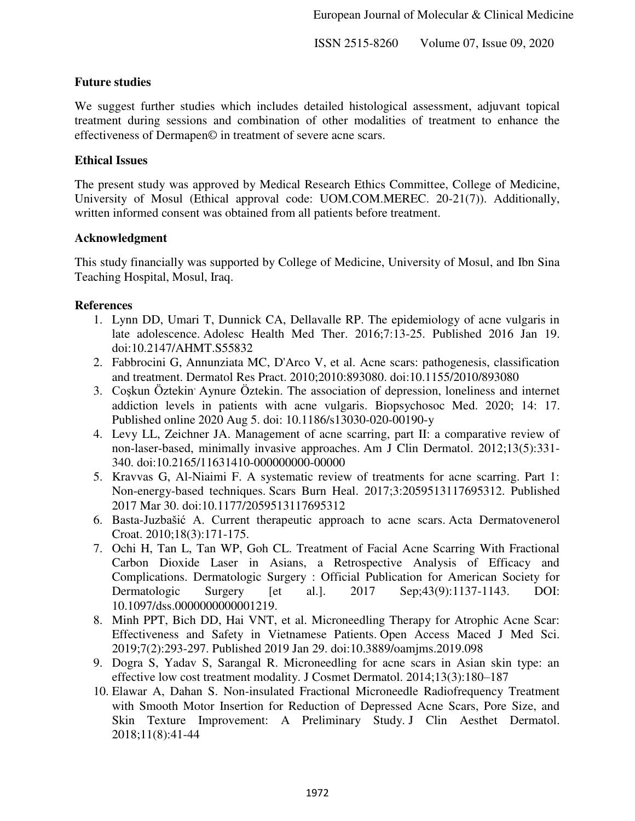# **Future studies**

We suggest further studies which includes detailed histological assessment, adjuvant topical treatment during sessions and combination of other modalities of treatment to enhance the effectiveness of Dermapen© in treatment of severe acne scars.

# **Ethical Issues**

The present study was approved by Medical Research Ethics Committee, College of Medicine, University of Mosul (Ethical approval code: UOM.COM.MEREC. 20-21(7)). Additionally, written informed consent was obtained from all patients before treatment.

## **Acknowledgment**

This study financially was supported by College of Medicine, University of Mosul, and Ibn Sina Teaching Hospital, Mosul, Iraq.

# **References**

- 1. Lynn DD, Umari T, Dunnick CA, Dellavalle RP. The epidemiology of acne vulgaris in late adolescence. Adolesc Health Med Ther. 2016;7:13-25. Published 2016 Jan 19. doi:10.2147/AHMT.S55832
- 2. Fabbrocini G, Annunziata MC, D'Arco V, et al. Acne scars: pathogenesis, classification and treatment. Dermatol Res Pract. 2010;2010:893080. doi:10.1155/2010/893080
- 3. [Coşkun Öztekin](https://www.ncbi.nlm.nih.gov/pubmed/?term=%26%23x000d6%3Bztekin%20C%5BAuthor%5D&cauthor=true&cauthor_uid=32774449)' [Aynure Öztekin.](https://www.ncbi.nlm.nih.gov/pubmed/?term=%26%23x000d6%3Bztekin%20A%5BAuthor%5D&cauthor=true&cauthor_uid=32774449) The association of depression, loneliness and internet addiction levels in patients with acne vulgaris. [Biopsychosoc Med.](https://www.ncbi.nlm.nih.gov/pmc/articles/PMC7405352/) 2020; 14: 17. Published online 2020 Aug 5. doi: [10.1186/s13030-020-00190-y](https://dx.doi.org/10.1186%2Fs13030-020-00190-y)
- 4. Levy LL, Zeichner JA. Management of acne scarring, part II: a comparative review of non-laser-based, minimally invasive approaches. Am J Clin Dermatol. 2012;13(5):331- 340. doi:10.2165/11631410-000000000-00000
- 5. Kravvas G, Al-Niaimi F. A systematic review of treatments for acne scarring. Part 1: Non-energy-based techniques. Scars Burn Heal. 2017;3:2059513117695312. Published 2017 Mar 30. doi:10.1177/2059513117695312
- 6. Basta-Juzbašić A. Current therapeutic approach to acne scars. Acta Dermatovenerol Croat. 2010;18(3):171-175.
- 7. Ochi H, Tan L, Tan WP, Goh CL. Treatment of Facial Acne Scarring With Fractional Carbon Dioxide Laser in Asians, a Retrospective Analysis of Efficacy and Complications. Dermatologic Surgery : Official Publication for American Society for Dermatologic Surgery [et al.]. 2017 Sep;43(9):1137-1143. DOI: 10.1097/dss.0000000000001219.
- 8. Minh PPT, Bich DD, Hai VNT, et al. Microneedling Therapy for Atrophic Acne Scar: Effectiveness and Safety in Vietnamese Patients. Open Access Maced J Med Sci. 2019;7(2):293-297. Published 2019 Jan 29. doi:10.3889/oamjms.2019.098
- 9. Dogra S, Yadav S, Sarangal R. Microneedling for acne scars in Asian skin type: an effective low cost treatment modality. J Cosmet Dermatol. 2014;13(3):180–187
- 10. Elawar A, Dahan S. Non-insulated Fractional Microneedle Radiofrequency Treatment with Smooth Motor Insertion for Reduction of Depressed Acne Scars, Pore Size, and Skin Texture Improvement: A Preliminary Study. J Clin Aesthet Dermatol. 2018;11(8):41-44